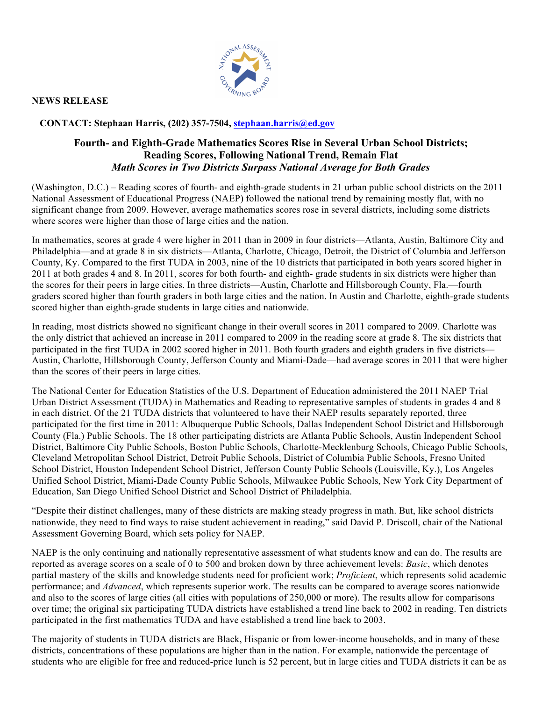

**NEWS RELEASE** 

#### **CONTACT: Stephaan Harris, (202) 357-7504, stephaan.harris@ed.gov**

#### **Fourth- and Eighth-Grade Mathematics Scores Rise in Several Urban School Districts; Reading Scores, Following National Trend, Remain Flat** *Math Scores in Two Districts Surpass National Average for Both Grades*

(Washington, D.C.) – Reading scores of fourth- and eighth-grade students in 21 urban public school districts on the 2011 National Assessment of Educational Progress (NAEP) followed the national trend by remaining mostly flat, with no significant change from 2009. However, average mathematics scores rose in several districts, including some districts where scores were higher than those of large cities and the nation.

In mathematics, scores at grade 4 were higher in 2011 than in 2009 in four districts—Atlanta, Austin, Baltimore City and Philadelphia—and at grade 8 in six districts—Atlanta, Charlotte, Chicago, Detroit, the District of Columbia and Jefferson County, Ky. Compared to the first TUDA in 2003, nine of the 10 districts that participated in both years scored higher in 2011 at both grades 4 and 8. In 2011, scores for both fourth- and eighth- grade students in six districts were higher than the scores for their peers in large cities. In three districts—Austin, Charlotte and Hillsborough County, Fla.—fourth graders scored higher than fourth graders in both large cities and the nation. In Austin and Charlotte, eighth-grade students scored higher than eighth-grade students in large cities and nationwide.

In reading, most districts showed no significant change in their overall scores in 2011 compared to 2009. Charlotte was the only district that achieved an increase in 2011 compared to 2009 in the reading score at grade 8. The six districts that participated in the first TUDA in 2002 scored higher in 2011. Both fourth graders and eighth graders in five districts— Austin, Charlotte, Hillsborough County, Jefferson County and Miami-Dade—had average scores in 2011 that were higher than the scores of their peers in large cities.

The National Center for Education Statistics of the U.S. Department of Education administered the 2011 NAEP Trial Urban District Assessment (TUDA) in Mathematics and Reading to representative samples of students in grades 4 and 8 in each district. Of the 21 TUDA districts that volunteered to have their NAEP results separately reported, three participated for the first time in 2011: Albuquerque Public Schools, Dallas Independent School District and Hillsborough County (Fla.) Public Schools. The 18 other participating districts are Atlanta Public Schools, Austin Independent School District, Baltimore City Public Schools, Boston Public Schools, Charlotte-Mecklenburg Schools, Chicago Public Schools, Cleveland Metropolitan School District, Detroit Public Schools, District of Columbia Public Schools, Fresno United School District, Houston Independent School District, Jefferson County Public Schools (Louisville, Ky.), Los Angeles Unified School District, Miami-Dade County Public Schools, Milwaukee Public Schools, New York City Department of Education, San Diego Unified School District and School District of Philadelphia.

"Despite their distinct challenges, many of these districts are making steady progress in math. But, like school districts nationwide, they need to find ways to raise student achievement in reading," said David P. Driscoll, chair of the National Assessment Governing Board, which sets policy for NAEP.

NAEP is the only continuing and nationally representative assessment of what students know and can do. The results are reported as average scores on a scale of 0 to 500 and broken down by three achievement levels: *Basic*, which denotes partial mastery of the skills and knowledge students need for proficient work; *Proficient*, which represents solid academic performance; and *Advanced*, which represents superior work. The results can be compared to average scores nationwide and also to the scores of large cities (all cities with populations of 250,000 or more). The results allow for comparisons over time; the original six participating TUDA districts have established a trend line back to 2002 in reading. Ten districts participated in the first mathematics TUDA and have established a trend line back to 2003.

The majority of students in TUDA districts are Black, Hispanic or from lower-income households, and in many of these districts, concentrations of these populations are higher than in the nation. For example, nationwide the percentage of students who are eligible for free and reduced-price lunch is 52 percent, but in large cities and TUDA districts it can be as